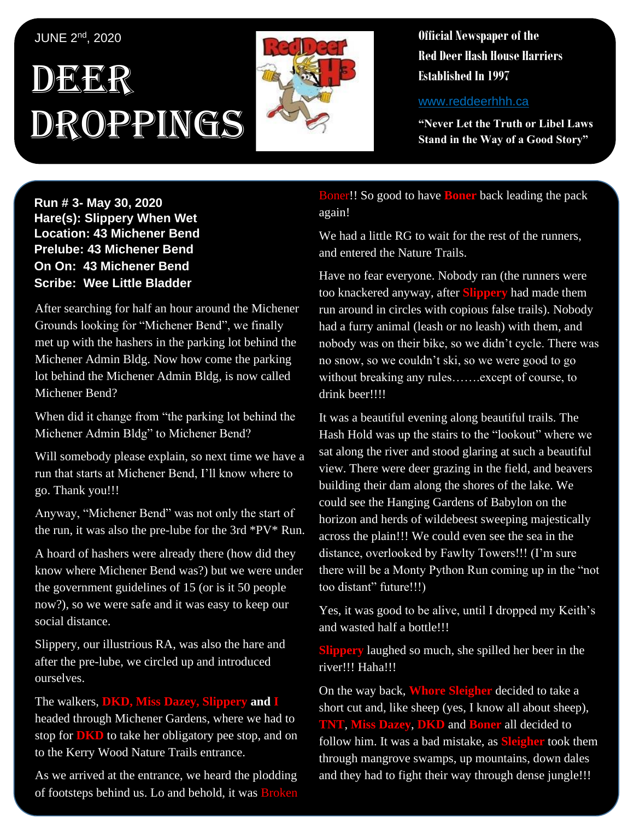## JUNE 2nd, 2020

## , 1 DEER Droppings



**Official Newspaper of the Red Deer Hash House Harriers Established In 1997** 

www.reddeerhhh.ca

**"Never Let the Truth or Libel Laws Stand in the Way of a Good Story"**

**Hare(s): Deep Throat with a little help from her Run # 3- May 30, 2020 virgin friend Hare(s): Slippery When Wet Location: 43 Michener Bend Prelube: 43 Michener Bend On On: 43 Michener Bend Scribe: Chips A Whore Scribe: Wee Little Bladder** 

After searching for half an hour around the Michener Grounds looking for "Michener Bend", we finally Michener Admin Bldg. Now how come the parking lot behind the Michener Admin Bldg, is now called Michener Bend? met up with the hashers in the parking lot behind the

When did it change from "the parking lot behind the Michener Admin Bldg" to Michener Bend?

Will somebody please explain, so next time we have a run that starts at Michener Bend, I'll know where to *Have you ever had someone be so obsessed with the*  go. Thank you!!!

Anyway, "Michener Bend" was not only the start of the run, it was also the pre-lube for the 3rd \*PV\* Run.

*daily self-improvement?* A hoard of hashers were already there (how did they the government guidelines of 15 (or is it 50 people now?), so we were safe and it was easy to keep our social distance. know where Michener Bend was?) but we were under

Slippery, our illustrious RA, was also the hare and after the pre-lube, we circled up and introduced ourselves. ourselves.

The walkers, **DKD, Miss Dazey, Slippery and I** headed through Michener Gardens, where we had to stop for **DKD** to take her obligatory pee stop, and on to the Kerry Wood Nature Trails entrance.

As we arrived at the entrance, we heard the plodding of footsteps behind us. Lo and behold, it was Broken

Boner!! So good to have **Boner** back leading the pack again!

We had a little RG to wait for the rest of the runners. and entered the Nature Trails.

Have no fear everyone. Nobody ran (the runners were too knackered anyway, after **Slippery** had made them run around in circles with copious false trails). Nobody had a furry animal (leash or no leash) with them, and nobody was on their bike, so we didn't cycle. There was no snow, so we couldn't ski, so we were good to go without breaking any rules…….except of course, to drink beer!!!!

It was a beautiful evening along beautiful trails. The Hash Hold was up the stairs to the "lookout" where we sat along the river and stood glaring at such a beautiful view. There were deer grazing in the field, and beavers building their dam along the shores of the lake. We could see the Hanging Gardens of Babylon on the horizon and herds of wildebeest sweeping majestically across the plain!!! We could even see the sea in the distance, overlooked by Fawlty Towers!!! (I'm sure there will be a Monty Python Run coming up in the "not too distant" future!!!)

Yes, it was good to be alive, until I dropped my Keith's and wasted half a bottle!!!

**Slippery** laughed so much, she spilled her beer in the river!!! Haha!!!

On the way back, **Whore Sleigher** decided to take a short cut and, like sheep (yes, I know all about sheep), **TNT**, **Miss Dazey**, **DKD** and **Boner** all decided to follow him. It was a bad mistake, as **Sleigher** took them through mangrove swamps, up mountains, down dales and they had to fight their way through dense jungle!!!